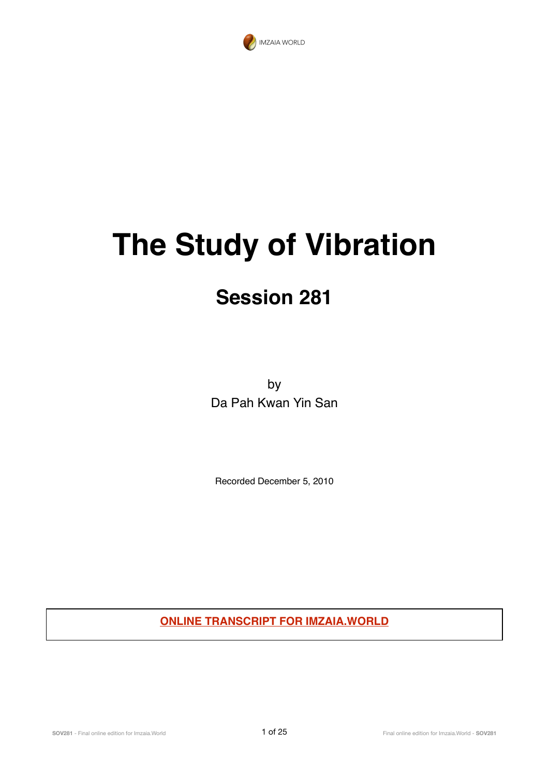

# **The Study of Vibration**

# **Session 281**

by Da Pah Kwan Yin San

Recorded December 5, 2010

**ONLINE TRANSCRIPT FOR IMZAIA.WORLD**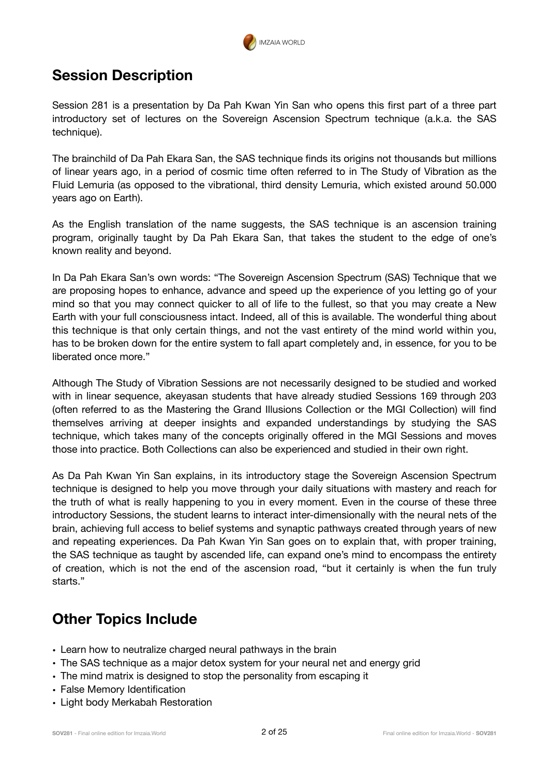

#### **Session Description**

Session 281 is a presentation by Da Pah Kwan Yin San who opens this first part of a three part introductory set of lectures on the Sovereign Ascension Spectrum technique (a.k.a. the SAS technique).

The brainchild of Da Pah Ekara San, the SAS technique finds its origins not thousands but millions of linear years ago, in a period of cosmic time often referred to in The Study of Vibration as the Fluid Lemuria (as opposed to the vibrational, third density Lemuria, which existed around 50.000 years ago on Earth).

As the English translation of the name suggests, the SAS technique is an ascension training program, originally taught by Da Pah Ekara San, that takes the student to the edge of one's known reality and beyond.

In Da Pah Ekara San's own words: "The Sovereign Ascension Spectrum (SAS) Technique that we are proposing hopes to enhance, advance and speed up the experience of you letting go of your mind so that you may connect quicker to all of life to the fullest, so that you may create a New Earth with your full consciousness intact. Indeed, all of this is available. The wonderful thing about this technique is that only certain things, and not the vast entirety of the mind world within you, has to be broken down for the entire system to fall apart completely and, in essence, for you to be liberated once more."

Although The Study of Vibration Sessions are not necessarily designed to be studied and worked with in linear sequence, akeyasan students that have already studied Sessions 169 through 203 (often referred to as the Mastering the Grand Illusions Collection or the MGI Collection) will find themselves arriving at deeper insights and expanded understandings by studying the SAS technique, which takes many of the concepts originally offered in the MGI Sessions and moves those into practice. Both Collections can also be experienced and studied in their own right.

As Da Pah Kwan Yin San explains, in its introductory stage the Sovereign Ascension Spectrum technique is designed to help you move through your daily situations with mastery and reach for the truth of what is really happening to you in every moment. Even in the course of these three introductory Sessions, the student learns to interact inter-dimensionally with the neural nets of the brain, achieving full access to belief systems and synaptic pathways created through years of new and repeating experiences. Da Pah Kwan Yin San goes on to explain that, with proper training, the SAS technique as taught by ascended life, can expand one's mind to encompass the entirety of creation, which is not the end of the ascension road, "but it certainly is when the fun truly starts."

#### **Other Topics Include**

- Learn how to neutralize charged neural pathways in the brain
- The SAS technique as a major detox system for your neural net and energy grid
- The mind matrix is designed to stop the personality from escaping it
- False Memory Identification
- Light body Merkabah Restoration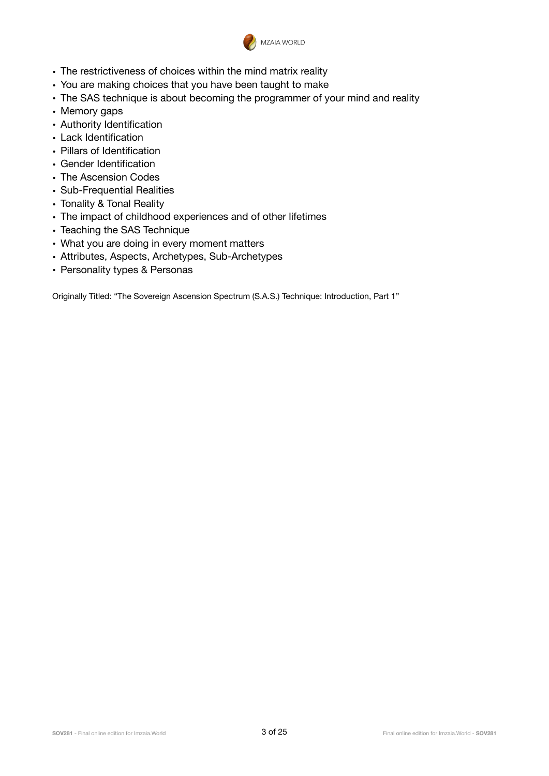

- The restrictiveness of choices within the mind matrix reality
- You are making choices that you have been taught to make
- The SAS technique is about becoming the programmer of your mind and reality
- Memory gaps
- Authority Identification
- Lack Identification
- Pillars of Identification
- Gender Identification
- The Ascension Codes
- Sub-Frequential Realities
- Tonality & Tonal Reality
- The impact of childhood experiences and of other lifetimes
- Teaching the SAS Technique
- What you are doing in every moment matters
- Attributes, Aspects, Archetypes, Sub-Archetypes
- Personality types & Personas

Originally Titled: "The Sovereign Ascension Spectrum (S.A.S.) Technique: Introduction, Part 1"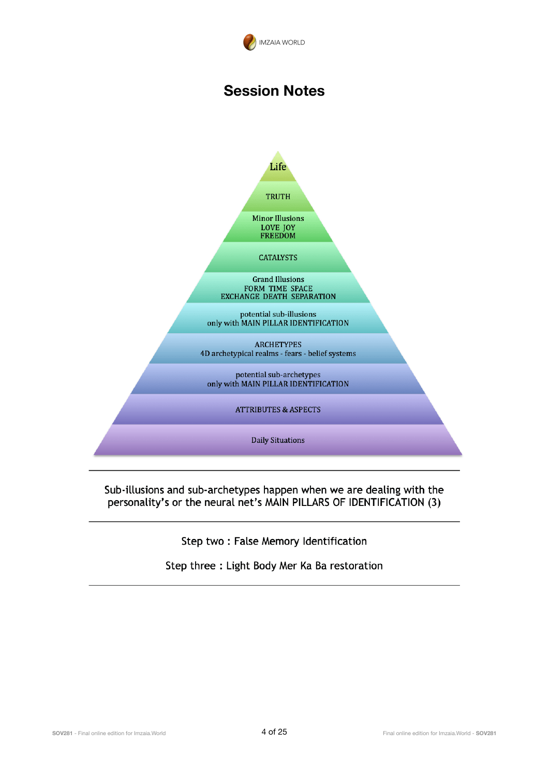

#### **Session Notes**



#### Sub-illusions and sub-archetypes happen when we are dealing with the personality's or the neural net's MAIN PILLARS OF IDENTIFICATION (3)

Step two: False Memory Identification

Step three : Light Body Mer Ka Ba restoration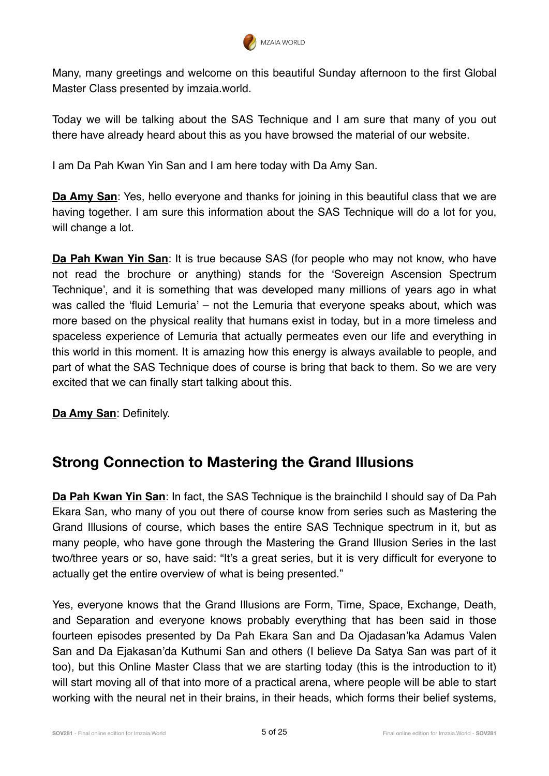

Many, many greetings and welcome on this beautiful Sunday afternoon to the first Global Master Class presented by imzaia.world.

Today we will be talking about the SAS Technique and I am sure that many of you out there have already heard about this as you have browsed the material of our website.

I am Da Pah Kwan Yin San and I am here today with Da Amy San.

**Da Amy San**: Yes, hello everyone and thanks for joining in this beautiful class that we are having together. I am sure this information about the SAS Technique will do a lot for you, will change a lot.

**Da Pah Kwan Yin San**: It is true because SAS (for people who may not know, who have not read the brochure or anything) stands for the 'Sovereign Ascension Spectrum Technique', and it is something that was developed many millions of years ago in what was called the 'fluid Lemuria' – not the Lemuria that everyone speaks about, which was more based on the physical reality that humans exist in today, but in a more timeless and spaceless experience of Lemuria that actually permeates even our life and everything in this world in this moment. It is amazing how this energy is always available to people, and part of what the SAS Technique does of course is bring that back to them. So we are very excited that we can finally start talking about this.

**Da Amy San**: Definitely.

#### **Strong Connection to Mastering the Grand Illusions**

**Da Pah Kwan Yin San**: In fact, the SAS Technique is the brainchild I should say of Da Pah Ekara San, who many of you out there of course know from series such as Mastering the Grand Illusions of course, which bases the entire SAS Technique spectrum in it, but as many people, who have gone through the Mastering the Grand Illusion Series in the last two/three years or so, have said: "It's a great series, but it is very difficult for everyone to actually get the entire overview of what is being presented."

Yes, everyone knows that the Grand Illusions are Form, Time, Space, Exchange, Death, and Separation and everyone knows probably everything that has been said in those fourteen episodes presented by Da Pah Ekara San and Da Ojadasan'ka Adamus Valen San and Da Ejakasan'da Kuthumi San and others (I believe Da Satya San was part of it too), but this Online Master Class that we are starting today (this is the introduction to it) will start moving all of that into more of a practical arena, where people will be able to start working with the neural net in their brains, in their heads, which forms their belief systems,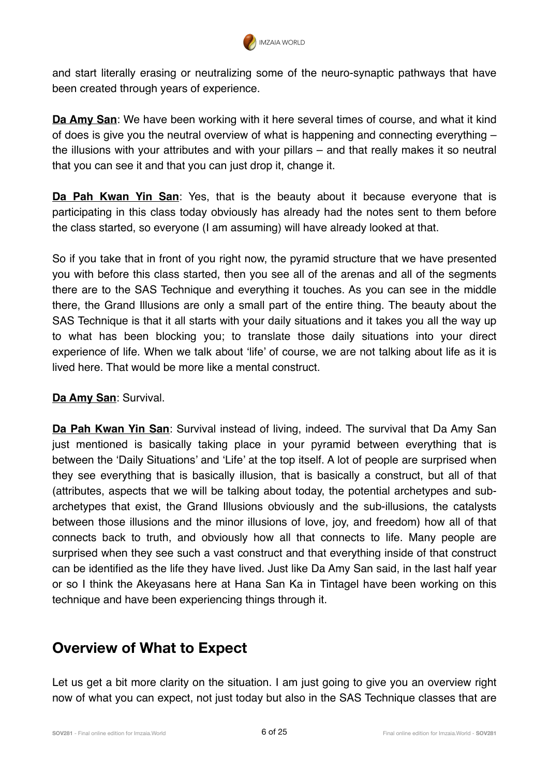

and start literally erasing or neutralizing some of the neuro-synaptic pathways that have been created through years of experience.

**Da Amy San**: We have been working with it here several times of course, and what it kind of does is give you the neutral overview of what is happening and connecting everything – the illusions with your attributes and with your pillars – and that really makes it so neutral that you can see it and that you can just drop it, change it.

**Da Pah Kwan Yin San**: Yes, that is the beauty about it because everyone that is participating in this class today obviously has already had the notes sent to them before the class started, so everyone (I am assuming) will have already looked at that.

So if you take that in front of you right now, the pyramid structure that we have presented you with before this class started, then you see all of the arenas and all of the segments there are to the SAS Technique and everything it touches. As you can see in the middle there, the Grand Illusions are only a small part of the entire thing. The beauty about the SAS Technique is that it all starts with your daily situations and it takes you all the way up to what has been blocking you; to translate those daily situations into your direct experience of life. When we talk about 'life' of course, we are not talking about life as it is lived here. That would be more like a mental construct.

#### **Da Amy San**: Survival.

**Da Pah Kwan Yin San**: Survival instead of living, indeed. The survival that Da Amy San just mentioned is basically taking place in your pyramid between everything that is between the 'Daily Situations' and 'Life' at the top itself. A lot of people are surprised when they see everything that is basically illusion, that is basically a construct, but all of that (attributes, aspects that we will be talking about today, the potential archetypes and subarchetypes that exist, the Grand Illusions obviously and the sub-illusions, the catalysts between those illusions and the minor illusions of love, joy, and freedom) how all of that connects back to truth, and obviously how all that connects to life. Many people are surprised when they see such a vast construct and that everything inside of that construct can be identified as the life they have lived. Just like Da Amy San said, in the last half year or so I think the Akeyasans here at Hana San Ka in Tintagel have been working on this technique and have been experiencing things through it.

#### **Overview of What to Expect**

Let us get a bit more clarity on the situation. I am just going to give you an overview right now of what you can expect, not just today but also in the SAS Technique classes that are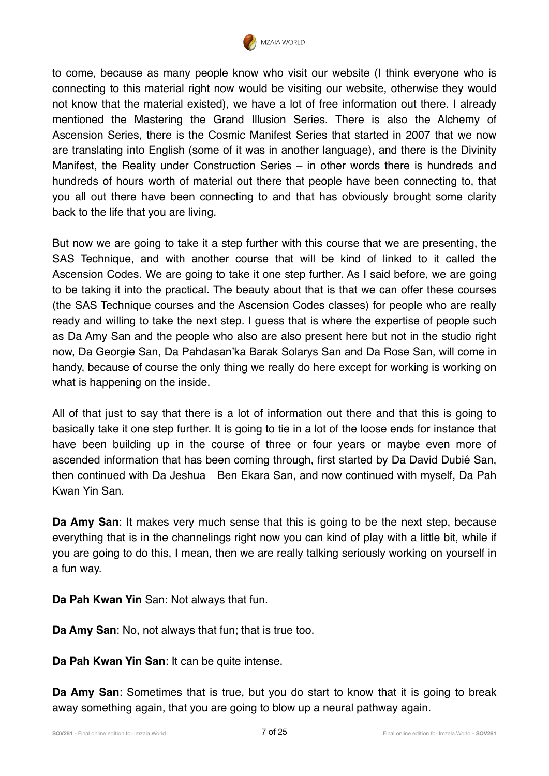

to come, because as many people know who visit our website (I think everyone who is connecting to this material right now would be visiting our website, otherwise they would not know that the material existed), we have a lot of free information out there. I already mentioned the Mastering the Grand Illusion Series. There is also the Alchemy of Ascension Series, there is the Cosmic Manifest Series that started in 2007 that we now are translating into English (some of it was in another language), and there is the Divinity Manifest, the Reality under Construction Series – in other words there is hundreds and hundreds of hours worth of material out there that people have been connecting to, that you all out there have been connecting to and that has obviously brought some clarity back to the life that you are living.

But now we are going to take it a step further with this course that we are presenting, the SAS Technique, and with another course that will be kind of linked to it called the Ascension Codes. We are going to take it one step further. As I said before, we are going to be taking it into the practical. The beauty about that is that we can offer these courses (the SAS Technique courses and the Ascension Codes classes) for people who are really ready and willing to take the next step. I guess that is where the expertise of people such as Da Amy San and the people who also are also present here but not in the studio right now, Da Georgie San, Da Pahdasan'ka Barak Solarys San and Da Rose San, will come in handy, because of course the only thing we really do here except for working is working on what is happening on the inside.

All of that just to say that there is a lot of information out there and that this is going to basically take it one step further. It is going to tie in a lot of the loose ends for instance that have been building up in the course of three or four years or maybe even more of ascended information that has been coming through, first started by Da David Dubié San, then continued with Da Jeshua Ben Ekara San, and now continued with myself, Da Pah Kwan Yin San.

**Da Amy San**: It makes very much sense that this is going to be the next step, because everything that is in the channelings right now you can kind of play with a little bit, while if you are going to do this, I mean, then we are really talking seriously working on yourself in a fun way.

**Da Pah Kwan Yin** San: Not always that fun.

**Da Amy San**: No, not always that fun; that is true too.

**Da Pah Kwan Yin San**: It can be quite intense.

**Da Amy San**: Sometimes that is true, but you do start to know that it is going to break away something again, that you are going to blow up a neural pathway again.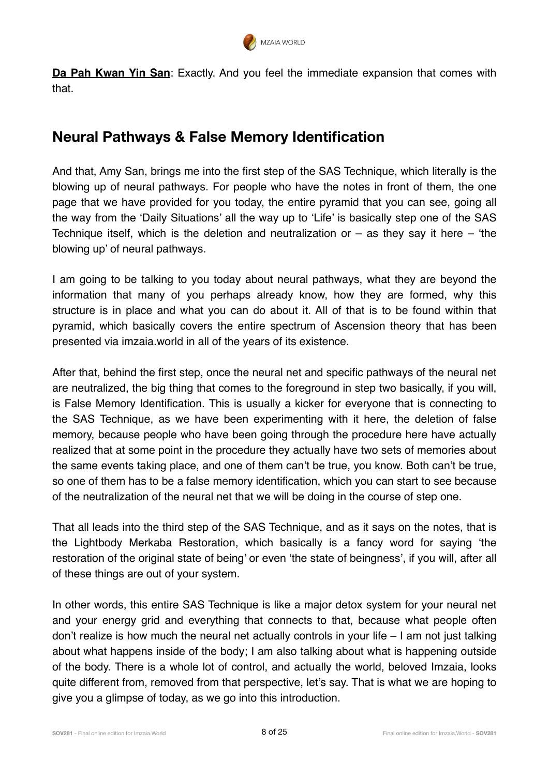

**Da Pah Kwan Yin San**: Exactly. And you feel the immediate expansion that comes with that.

#### **Neural Pathways & False Memory Identification**

And that, Amy San, brings me into the first step of the SAS Technique, which literally is the blowing up of neural pathways. For people who have the notes in front of them, the one page that we have provided for you today, the entire pyramid that you can see, going all the way from the 'Daily Situations' all the way up to 'Life' is basically step one of the SAS Technique itself, which is the deletion and neutralization or  $-$  as they say it here  $-$  'the blowing up' of neural pathways.

I am going to be talking to you today about neural pathways, what they are beyond the information that many of you perhaps already know, how they are formed, why this structure is in place and what you can do about it. All of that is to be found within that pyramid, which basically covers the entire spectrum of Ascension theory that has been presented via imzaia.world in all of the years of its existence.

After that, behind the first step, once the neural net and specific pathways of the neural net are neutralized, the big thing that comes to the foreground in step two basically, if you will, is False Memory Identification. This is usually a kicker for everyone that is connecting to the SAS Technique, as we have been experimenting with it here, the deletion of false memory, because people who have been going through the procedure here have actually realized that at some point in the procedure they actually have two sets of memories about the same events taking place, and one of them can't be true, you know. Both can't be true, so one of them has to be a false memory identification, which you can start to see because of the neutralization of the neural net that we will be doing in the course of step one.

That all leads into the third step of the SAS Technique, and as it says on the notes, that is the Lightbody Merkaba Restoration, which basically is a fancy word for saying 'the restoration of the original state of being' or even 'the state of beingness', if you will, after all of these things are out of your system.

In other words, this entire SAS Technique is like a major detox system for your neural net and your energy grid and everything that connects to that, because what people often don't realize is how much the neural net actually controls in your life – I am not just talking about what happens inside of the body; I am also talking about what is happening outside of the body. There is a whole lot of control, and actually the world, beloved Imzaia, looks quite different from, removed from that perspective, let's say. That is what we are hoping to give you a glimpse of today, as we go into this introduction.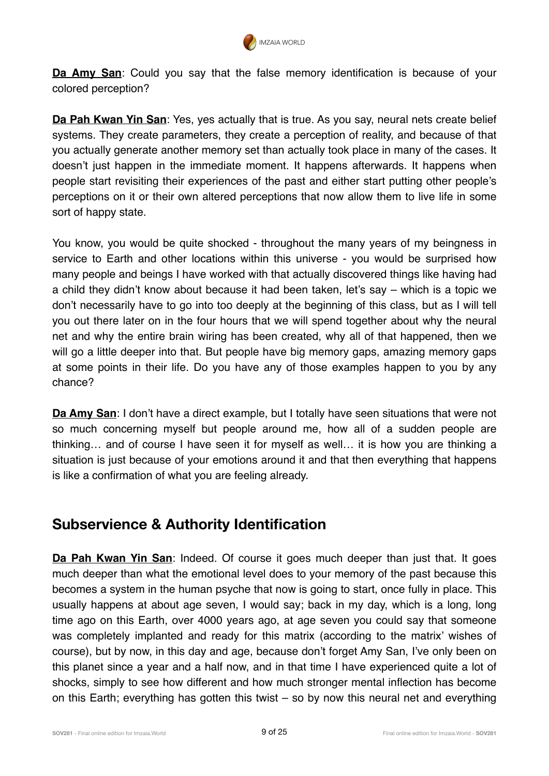

**Da Amy San**: Could you say that the false memory identification is because of your colored perception?

**Da Pah Kwan Yin San**: Yes, yes actually that is true. As you say, neural nets create belief systems. They create parameters, they create a perception of reality, and because of that you actually generate another memory set than actually took place in many of the cases. It doesn't just happen in the immediate moment. It happens afterwards. It happens when people start revisiting their experiences of the past and either start putting other people's perceptions on it or their own altered perceptions that now allow them to live life in some sort of happy state.

You know, you would be quite shocked - throughout the many years of my beingness in service to Earth and other locations within this universe - you would be surprised how many people and beings I have worked with that actually discovered things like having had a child they didn't know about because it had been taken, let's say – which is a topic we don't necessarily have to go into too deeply at the beginning of this class, but as I will tell you out there later on in the four hours that we will spend together about why the neural net and why the entire brain wiring has been created, why all of that happened, then we will go a little deeper into that. But people have big memory gaps, amazing memory gaps at some points in their life. Do you have any of those examples happen to you by any chance?

**Da Amy San**: I don't have a direct example, but I totally have seen situations that were not so much concerning myself but people around me, how all of a sudden people are thinking… and of course I have seen it for myself as well… it is how you are thinking a situation is just because of your emotions around it and that then everything that happens is like a confirmation of what you are feeling already.

#### **Subservience & Authority Identification**

**Da Pah Kwan Yin San**: Indeed. Of course it goes much deeper than just that. It goes much deeper than what the emotional level does to your memory of the past because this becomes a system in the human psyche that now is going to start, once fully in place. This usually happens at about age seven, I would say; back in my day, which is a long, long time ago on this Earth, over 4000 years ago, at age seven you could say that someone was completely implanted and ready for this matrix (according to the matrix' wishes of course), but by now, in this day and age, because don't forget Amy San, I've only been on this planet since a year and a half now, and in that time I have experienced quite a lot of shocks, simply to see how different and how much stronger mental inflection has become on this Earth; everything has gotten this twist – so by now this neural net and everything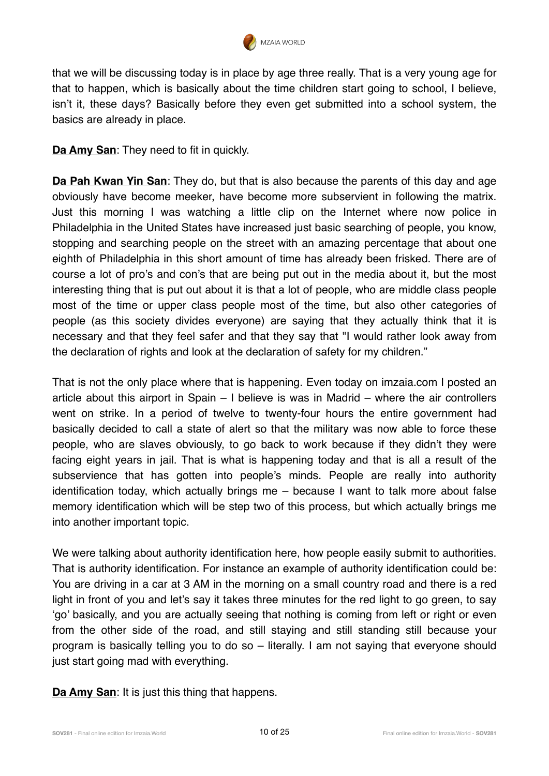

that we will be discussing today is in place by age three really. That is a very young age for that to happen, which is basically about the time children start going to school, I believe, isn't it, these days? Basically before they even get submitted into a school system, the basics are already in place.

**Da Amy San:** They need to fit in quickly.

**Da Pah Kwan Yin San**: They do, but that is also because the parents of this day and age obviously have become meeker, have become more subservient in following the matrix. Just this morning I was watching a little clip on the Internet where now police in Philadelphia in the United States have increased just basic searching of people, you know, stopping and searching people on the street with an amazing percentage that about one eighth of Philadelphia in this short amount of time has already been frisked. There are of course a lot of pro's and con's that are being put out in the media about it, but the most interesting thing that is put out about it is that a lot of people, who are middle class people most of the time or upper class people most of the time, but also other categories of people (as this society divides everyone) are saying that they actually think that it is necessary and that they feel safer and that they say that "I would rather look away from the declaration of rights and look at the declaration of safety for my children."

That is not the only place where that is happening. Even today on imzaia.com I posted an article about this airport in Spain – I believe is was in Madrid – where the air controllers went on strike. In a period of twelve to twenty-four hours the entire government had basically decided to call a state of alert so that the military was now able to force these people, who are slaves obviously, to go back to work because if they didn't they were facing eight years in jail. That is what is happening today and that is all a result of the subservience that has gotten into people's minds. People are really into authority identification today, which actually brings me – because I want to talk more about false memory identification which will be step two of this process, but which actually brings me into another important topic.

We were talking about authority identification here, how people easily submit to authorities. That is authority identification. For instance an example of authority identification could be: You are driving in a car at 3 AM in the morning on a small country road and there is a red light in front of you and let's say it takes three minutes for the red light to go green, to say 'go' basically, and you are actually seeing that nothing is coming from left or right or even from the other side of the road, and still staying and still standing still because your program is basically telling you to do so – literally. I am not saying that everyone should just start going mad with everything.

**Da Amy San: It is just this thing that happens.**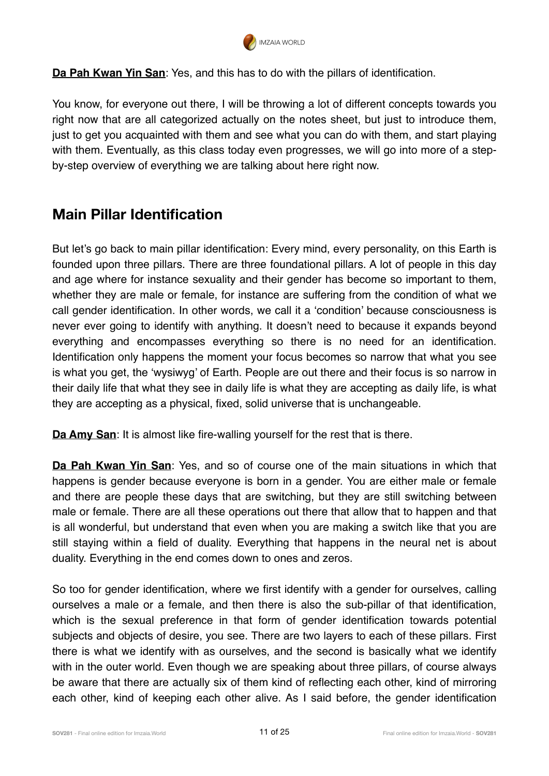

**Da Pah Kwan Yin San**: Yes, and this has to do with the pillars of identification.

You know, for everyone out there, I will be throwing a lot of different concepts towards you right now that are all categorized actually on the notes sheet, but just to introduce them, just to get you acquainted with them and see what you can do with them, and start playing with them. Eventually, as this class today even progresses, we will go into more of a stepby-step overview of everything we are talking about here right now.

#### **Main Pillar Identification**

But let's go back to main pillar identification: Every mind, every personality, on this Earth is founded upon three pillars. There are three foundational pillars. A lot of people in this day and age where for instance sexuality and their gender has become so important to them, whether they are male or female, for instance are suffering from the condition of what we call gender identification. In other words, we call it a 'condition' because consciousness is never ever going to identify with anything. It doesn't need to because it expands beyond everything and encompasses everything so there is no need for an identification. Identification only happens the moment your focus becomes so narrow that what you see is what you get, the 'wysiwyg' of Earth. People are out there and their focus is so narrow in their daily life that what they see in daily life is what they are accepting as daily life, is what they are accepting as a physical, fixed, solid universe that is unchangeable.

**Da Amy San:** It is almost like fire-walling yourself for the rest that is there.

**Da Pah Kwan Yin San**: Yes, and so of course one of the main situations in which that happens is gender because everyone is born in a gender. You are either male or female and there are people these days that are switching, but they are still switching between male or female. There are all these operations out there that allow that to happen and that is all wonderful, but understand that even when you are making a switch like that you are still staying within a field of duality. Everything that happens in the neural net is about duality. Everything in the end comes down to ones and zeros.

So too for gender identification, where we first identify with a gender for ourselves, calling ourselves a male or a female, and then there is also the sub-pillar of that identification, which is the sexual preference in that form of gender identification towards potential subjects and objects of desire, you see. There are two layers to each of these pillars. First there is what we identify with as ourselves, and the second is basically what we identify with in the outer world. Even though we are speaking about three pillars, of course always be aware that there are actually six of them kind of reflecting each other, kind of mirroring each other, kind of keeping each other alive. As I said before, the gender identification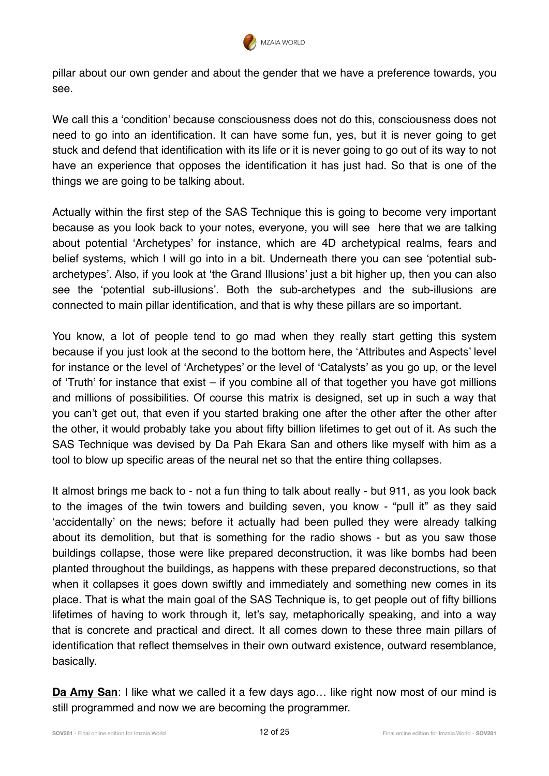

pillar about our own gender and about the gender that we have a preference towards, you see.

We call this a 'condition' because consciousness does not do this, consciousness does not need to go into an identification. It can have some fun, yes, but it is never going to get stuck and defend that identification with its life or it is never going to go out of its way to not have an experience that opposes the identification it has just had. So that is one of the things we are going to be talking about.

Actually within the first step of the SAS Technique this is going to become very important because as you look back to your notes, everyone, you will see here that we are talking about potential 'Archetypes' for instance, which are 4D archetypical realms, fears and belief systems, which I will go into in a bit. Underneath there you can see 'potential subarchetypes'. Also, if you look at 'the Grand Illusions' just a bit higher up, then you can also see the 'potential sub-illusions'. Both the sub-archetypes and the sub-illusions are connected to main pillar identification, and that is why these pillars are so important.

You know, a lot of people tend to go mad when they really start getting this system because if you just look at the second to the bottom here, the 'Attributes and Aspects' level for instance or the level of 'Archetypes' or the level of 'Catalysts' as you go up, or the level of 'Truth' for instance that exist – if you combine all of that together you have got millions and millions of possibilities. Of course this matrix is designed, set up in such a way that you can't get out, that even if you started braking one after the other after the other after the other, it would probably take you about fifty billion lifetimes to get out of it. As such the SAS Technique was devised by Da Pah Ekara San and others like myself with him as a tool to blow up specific areas of the neural net so that the entire thing collapses.

It almost brings me back to - not a fun thing to talk about really - but 911, as you look back to the images of the twin towers and building seven, you know - "pull it" as they said 'accidentally' on the news; before it actually had been pulled they were already talking about its demolition, but that is something for the radio shows - but as you saw those buildings collapse, those were like prepared deconstruction, it was like bombs had been planted throughout the buildings, as happens with these prepared deconstructions, so that when it collapses it goes down swiftly and immediately and something new comes in its place. That is what the main goal of the SAS Technique is, to get people out of fifty billions lifetimes of having to work through it, let's say, metaphorically speaking, and into a way that is concrete and practical and direct. It all comes down to these three main pillars of identification that reflect themselves in their own outward existence, outward resemblance, basically.

**Da Amy San**: I like what we called it a few days ago... like right now most of our mind is still programmed and now we are becoming the programmer.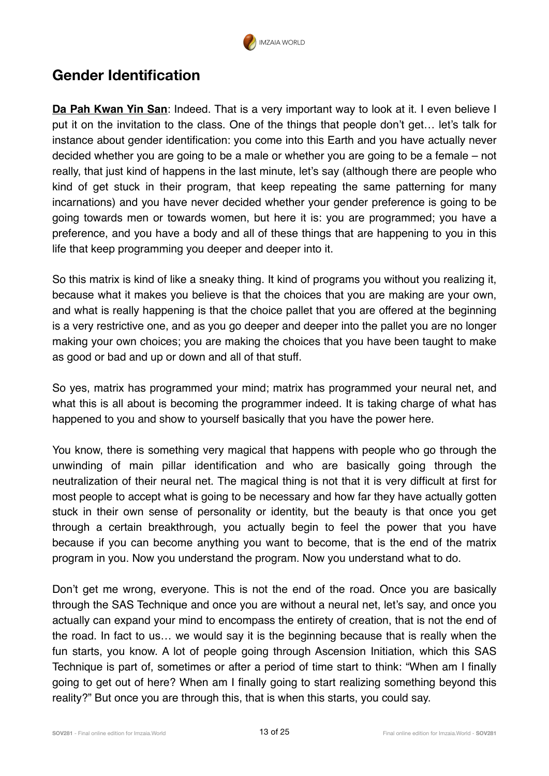

#### **Gender Identification**

**Da Pah Kwan Yin San**: Indeed. That is a very important way to look at it. I even believe I put it on the invitation to the class. One of the things that people don't get… let's talk for instance about gender identification: you come into this Earth and you have actually never decided whether you are going to be a male or whether you are going to be a female – not really, that just kind of happens in the last minute, let's say (although there are people who kind of get stuck in their program, that keep repeating the same patterning for many incarnations) and you have never decided whether your gender preference is going to be going towards men or towards women, but here it is: you are programmed; you have a preference, and you have a body and all of these things that are happening to you in this life that keep programming you deeper and deeper into it.

So this matrix is kind of like a sneaky thing. It kind of programs you without you realizing it, because what it makes you believe is that the choices that you are making are your own, and what is really happening is that the choice pallet that you are offered at the beginning is a very restrictive one, and as you go deeper and deeper into the pallet you are no longer making your own choices; you are making the choices that you have been taught to make as good or bad and up or down and all of that stuff.

So yes, matrix has programmed your mind; matrix has programmed your neural net, and what this is all about is becoming the programmer indeed. It is taking charge of what has happened to you and show to yourself basically that you have the power here.

You know, there is something very magical that happens with people who go through the unwinding of main pillar identification and who are basically going through the neutralization of their neural net. The magical thing is not that it is very difficult at first for most people to accept what is going to be necessary and how far they have actually gotten stuck in their own sense of personality or identity, but the beauty is that once you get through a certain breakthrough, you actually begin to feel the power that you have because if you can become anything you want to become, that is the end of the matrix program in you. Now you understand the program. Now you understand what to do.

Don't get me wrong, everyone. This is not the end of the road. Once you are basically through the SAS Technique and once you are without a neural net, let's say, and once you actually can expand your mind to encompass the entirety of creation, that is not the end of the road. In fact to us… we would say it is the beginning because that is really when the fun starts, you know. A lot of people going through Ascension Initiation, which this SAS Technique is part of, sometimes or after a period of time start to think: "When am I finally going to get out of here? When am I finally going to start realizing something beyond this reality?" But once you are through this, that is when this starts, you could say.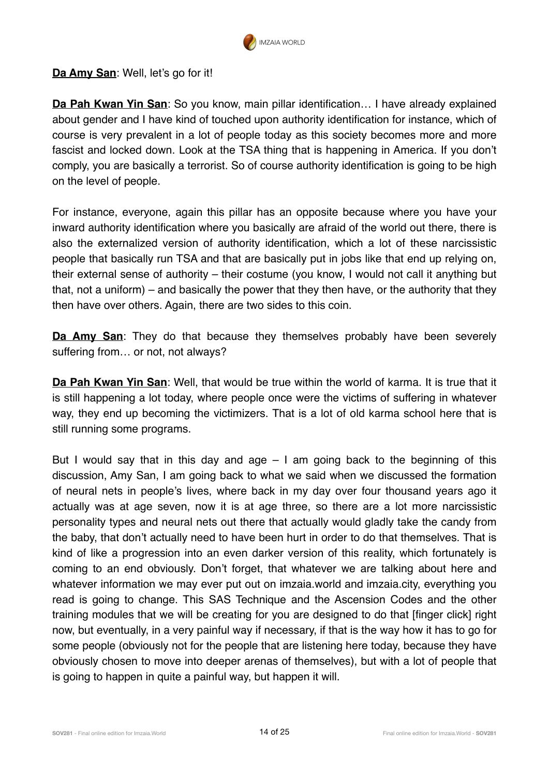

**Da Amy San: Well, let's go for it!** 

**Da Pah Kwan Yin San**: So you know, main pillar identification… I have already explained about gender and I have kind of touched upon authority identification for instance, which of course is very prevalent in a lot of people today as this society becomes more and more fascist and locked down. Look at the TSA thing that is happening in America. If you don't comply, you are basically a terrorist. So of course authority identification is going to be high on the level of people.

For instance, everyone, again this pillar has an opposite because where you have your inward authority identification where you basically are afraid of the world out there, there is also the externalized version of authority identification, which a lot of these narcissistic people that basically run TSA and that are basically put in jobs like that end up relying on, their external sense of authority – their costume (you know, I would not call it anything but that, not a uniform) – and basically the power that they then have, or the authority that they then have over others. Again, there are two sides to this coin.

**Da Amy San**: They do that because they themselves probably have been severely suffering from... or not, not always?

**Da Pah Kwan Yin San**: Well, that would be true within the world of karma. It is true that it is still happening a lot today, where people once were the victims of suffering in whatever way, they end up becoming the victimizers. That is a lot of old karma school here that is still running some programs.

But I would say that in this day and age  $-1$  am going back to the beginning of this discussion, Amy San, I am going back to what we said when we discussed the formation of neural nets in people's lives, where back in my day over four thousand years ago it actually was at age seven, now it is at age three, so there are a lot more narcissistic personality types and neural nets out there that actually would gladly take the candy from the baby, that don't actually need to have been hurt in order to do that themselves. That is kind of like a progression into an even darker version of this reality, which fortunately is coming to an end obviously. Don't forget, that whatever we are talking about here and whatever information we may ever put out on imzaia.world and imzaia.city, everything you read is going to change. This SAS Technique and the Ascension Codes and the other training modules that we will be creating for you are designed to do that [finger click] right now, but eventually, in a very painful way if necessary, if that is the way how it has to go for some people (obviously not for the people that are listening here today, because they have obviously chosen to move into deeper arenas of themselves), but with a lot of people that is going to happen in quite a painful way, but happen it will.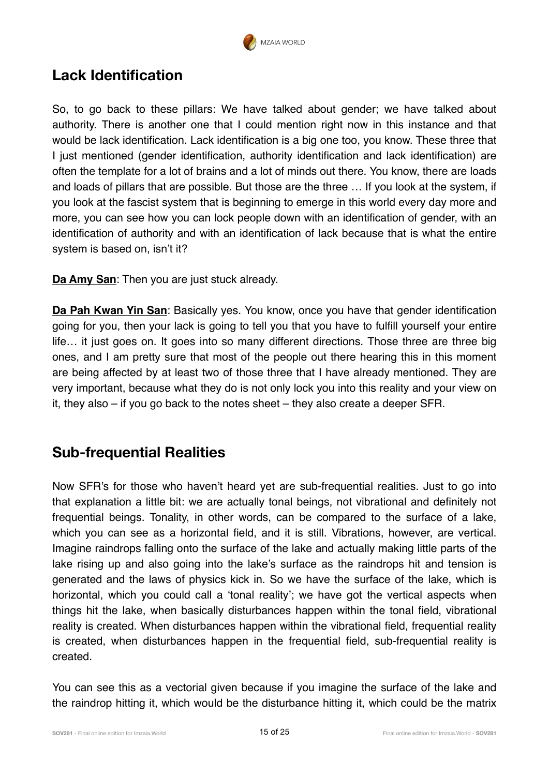

#### **Lack Identification**

So, to go back to these pillars: We have talked about gender; we have talked about authority. There is another one that I could mention right now in this instance and that would be lack identification. Lack identification is a big one too, you know. These three that I just mentioned (gender identification, authority identification and lack identification) are often the template for a lot of brains and a lot of minds out there. You know, there are loads and loads of pillars that are possible. But those are the three … If you look at the system, if you look at the fascist system that is beginning to emerge in this world every day more and more, you can see how you can lock people down with an identification of gender, with an identification of authority and with an identification of lack because that is what the entire system is based on, isn't it?

**Da Amy San**: Then you are just stuck already.

**Da Pah Kwan Yin San**: Basically yes. You know, once you have that gender identification going for you, then your lack is going to tell you that you have to fulfill yourself your entire life… it just goes on. It goes into so many different directions. Those three are three big ones, and I am pretty sure that most of the people out there hearing this in this moment are being affected by at least two of those three that I have already mentioned. They are very important, because what they do is not only lock you into this reality and your view on it, they also – if you go back to the notes sheet – they also create a deeper SFR.

#### **Sub-frequential Realities**

Now SFR's for those who haven't heard yet are sub-frequential realities. Just to go into that explanation a little bit: we are actually tonal beings, not vibrational and definitely not frequential beings. Tonality, in other words, can be compared to the surface of a lake, which you can see as a horizontal field, and it is still. Vibrations, however, are vertical. Imagine raindrops falling onto the surface of the lake and actually making little parts of the lake rising up and also going into the lake's surface as the raindrops hit and tension is generated and the laws of physics kick in. So we have the surface of the lake, which is horizontal, which you could call a 'tonal reality'; we have got the vertical aspects when things hit the lake, when basically disturbances happen within the tonal field, vibrational reality is created. When disturbances happen within the vibrational field, frequential reality is created, when disturbances happen in the frequential field, sub-frequential reality is created.

You can see this as a vectorial given because if you imagine the surface of the lake and the raindrop hitting it, which would be the disturbance hitting it, which could be the matrix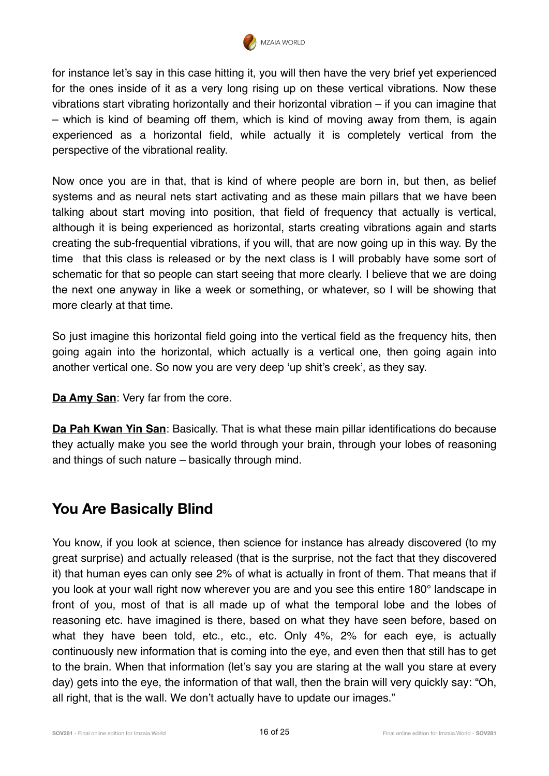

for instance let's say in this case hitting it, you will then have the very brief yet experienced for the ones inside of it as a very long rising up on these vertical vibrations. Now these vibrations start vibrating horizontally and their horizontal vibration – if you can imagine that – which is kind of beaming off them, which is kind of moving away from them, is again experienced as a horizontal field, while actually it is completely vertical from the perspective of the vibrational reality.

Now once you are in that, that is kind of where people are born in, but then, as belief systems and as neural nets start activating and as these main pillars that we have been talking about start moving into position, that field of frequency that actually is vertical, although it is being experienced as horizontal, starts creating vibrations again and starts creating the sub-frequential vibrations, if you will, that are now going up in this way. By the time that this class is released or by the next class is I will probably have some sort of schematic for that so people can start seeing that more clearly. I believe that we are doing the next one anyway in like a week or something, or whatever, so I will be showing that more clearly at that time.

So just imagine this horizontal field going into the vertical field as the frequency hits, then going again into the horizontal, which actually is a vertical one, then going again into another vertical one. So now you are very deep 'up shit's creek', as they say.

**Da Amy San**: Very far from the core.

**Da Pah Kwan Yin San**: Basically. That is what these main pillar identifications do because they actually make you see the world through your brain, through your lobes of reasoning and things of such nature – basically through mind.

#### **You Are Basically Blind**

You know, if you look at science, then science for instance has already discovered (to my great surprise) and actually released (that is the surprise, not the fact that they discovered it) that human eyes can only see 2% of what is actually in front of them. That means that if you look at your wall right now wherever you are and you see this entire 180° landscape in front of you, most of that is all made up of what the temporal lobe and the lobes of reasoning etc. have imagined is there, based on what they have seen before, based on what they have been told, etc., etc., etc. Only 4%, 2% for each eye, is actually continuously new information that is coming into the eye, and even then that still has to get to the brain. When that information (let's say you are staring at the wall you stare at every day) gets into the eye, the information of that wall, then the brain will very quickly say: "Oh, all right, that is the wall. We don't actually have to update our images."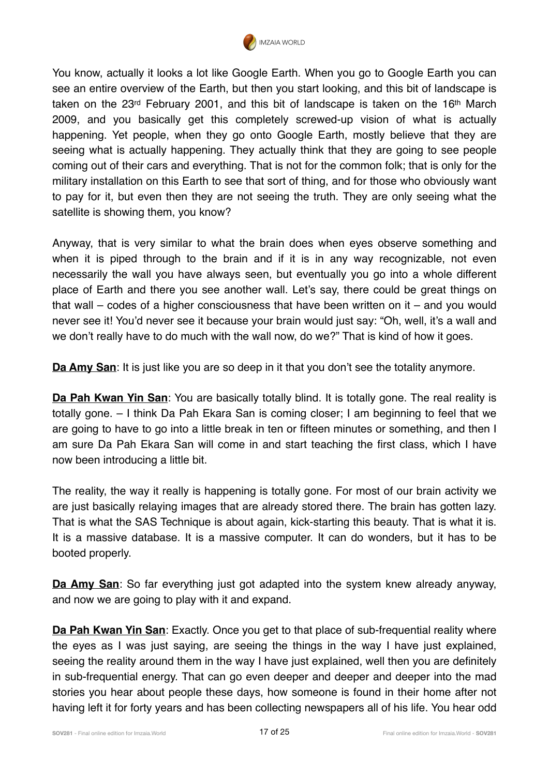

You know, actually it looks a lot like Google Earth. When you go to Google Earth you can see an entire overview of the Earth, but then you start looking, and this bit of landscape is taken on the 23<sup>rd</sup> February 2001, and this bit of landscape is taken on the 16<sup>th</sup> March 2009, and you basically get this completely screwed-up vision of what is actually happening. Yet people, when they go onto Google Earth, mostly believe that they are seeing what is actually happening. They actually think that they are going to see people coming out of their cars and everything. That is not for the common folk; that is only for the military installation on this Earth to see that sort of thing, and for those who obviously want to pay for it, but even then they are not seeing the truth. They are only seeing what the satellite is showing them, you know?

Anyway, that is very similar to what the brain does when eyes observe something and when it is piped through to the brain and if it is in any way recognizable, not even necessarily the wall you have always seen, but eventually you go into a whole different place of Earth and there you see another wall. Let's say, there could be great things on that wall – codes of a higher consciousness that have been written on it – and you would never see it! You'd never see it because your brain would just say: "Oh, well, it's a wall and we don't really have to do much with the wall now, do we?" That is kind of how it goes.

**Da Amy San**: It is just like you are so deep in it that you don't see the totality anymore.

**Da Pah Kwan Yin San**: You are basically totally blind. It is totally gone. The real reality is totally gone. – I think Da Pah Ekara San is coming closer; I am beginning to feel that we are going to have to go into a little break in ten or fifteen minutes or something, and then I am sure Da Pah Ekara San will come in and start teaching the first class, which I have now been introducing a little bit.

The reality, the way it really is happening is totally gone. For most of our brain activity we are just basically relaying images that are already stored there. The brain has gotten lazy. That is what the SAS Technique is about again, kick-starting this beauty. That is what it is. It is a massive database. It is a massive computer. It can do wonders, but it has to be booted properly.

**Da Amy San**: So far everything just got adapted into the system knew already anyway, and now we are going to play with it and expand.

**Da Pah Kwan Yin San**: Exactly. Once you get to that place of sub-frequential reality where the eyes as I was just saying, are seeing the things in the way I have just explained, seeing the reality around them in the way I have just explained, well then you are definitely in sub-frequential energy. That can go even deeper and deeper and deeper into the mad stories you hear about people these days, how someone is found in their home after not having left it for forty years and has been collecting newspapers all of his life. You hear odd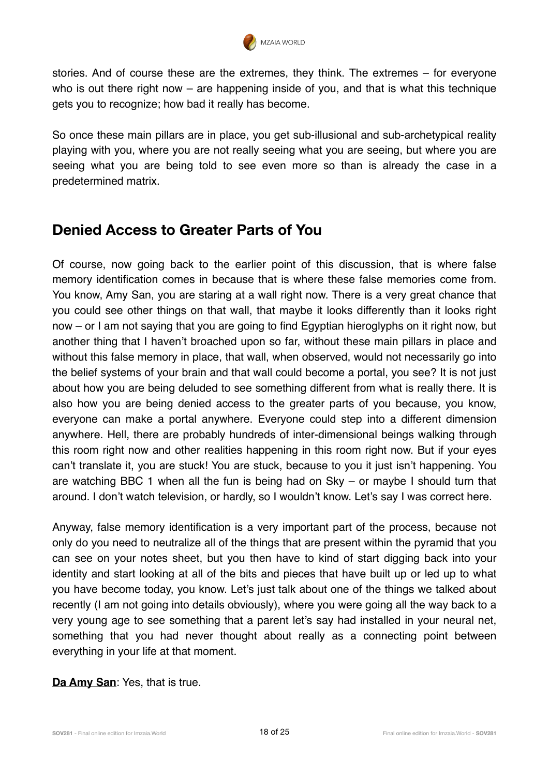

stories. And of course these are the extremes, they think. The extremes – for everyone who is out there right now  $-$  are happening inside of you, and that is what this technique gets you to recognize; how bad it really has become.

So once these main pillars are in place, you get sub-illusional and sub-archetypical reality playing with you, where you are not really seeing what you are seeing, but where you are seeing what you are being told to see even more so than is already the case in a predetermined matrix.

#### **Denied Access to Greater Parts of You**

Of course, now going back to the earlier point of this discussion, that is where false memory identification comes in because that is where these false memories come from. You know, Amy San, you are staring at a wall right now. There is a very great chance that you could see other things on that wall, that maybe it looks differently than it looks right now – or I am not saying that you are going to find Egyptian hieroglyphs on it right now, but another thing that I haven't broached upon so far, without these main pillars in place and without this false memory in place, that wall, when observed, would not necessarily go into the belief systems of your brain and that wall could become a portal, you see? It is not just about how you are being deluded to see something different from what is really there. It is also how you are being denied access to the greater parts of you because, you know, everyone can make a portal anywhere. Everyone could step into a different dimension anywhere. Hell, there are probably hundreds of inter-dimensional beings walking through this room right now and other realities happening in this room right now. But if your eyes can't translate it, you are stuck! You are stuck, because to you it just isn't happening. You are watching BBC 1 when all the fun is being had on Sky – or maybe I should turn that around. I don't watch television, or hardly, so I wouldn't know. Let's say I was correct here.

Anyway, false memory identification is a very important part of the process, because not only do you need to neutralize all of the things that are present within the pyramid that you can see on your notes sheet, but you then have to kind of start digging back into your identity and start looking at all of the bits and pieces that have built up or led up to what you have become today, you know. Let's just talk about one of the things we talked about recently (I am not going into details obviously), where you were going all the way back to a very young age to see something that a parent let's say had installed in your neural net, something that you had never thought about really as a connecting point between everything in your life at that moment.

**Da Amy San**: Yes, that is true.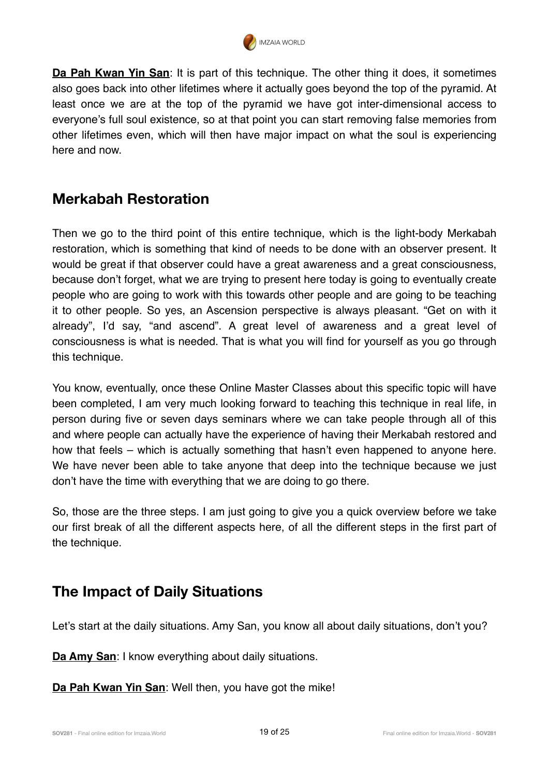

**Da Pah Kwan Yin San:** It is part of this technique. The other thing it does, it sometimes also goes back into other lifetimes where it actually goes beyond the top of the pyramid. At least once we are at the top of the pyramid we have got inter-dimensional access to everyone's full soul existence, so at that point you can start removing false memories from other lifetimes even, which will then have major impact on what the soul is experiencing here and now.

### **Merkabah Restoration**

Then we go to the third point of this entire technique, which is the light-body Merkabah restoration, which is something that kind of needs to be done with an observer present. It would be great if that observer could have a great awareness and a great consciousness, because don't forget, what we are trying to present here today is going to eventually create people who are going to work with this towards other people and are going to be teaching it to other people. So yes, an Ascension perspective is always pleasant. "Get on with it already", I'd say, "and ascend". A great level of awareness and a great level of consciousness is what is needed. That is what you will find for yourself as you go through this technique.

You know, eventually, once these Online Master Classes about this specific topic will have been completed, I am very much looking forward to teaching this technique in real life, in person during five or seven days seminars where we can take people through all of this and where people can actually have the experience of having their Merkabah restored and how that feels – which is actually something that hasn't even happened to anyone here. We have never been able to take anyone that deep into the technique because we just don't have the time with everything that we are doing to go there.

So, those are the three steps. I am just going to give you a quick overview before we take our first break of all the different aspects here, of all the different steps in the first part of the technique.

#### **The Impact of Daily Situations**

Let's start at the daily situations. Amy San, you know all about daily situations, don't you?

**Da Amy San: I know everything about daily situations.** 

**Da Pah Kwan Yin San**: Well then, you have got the mike!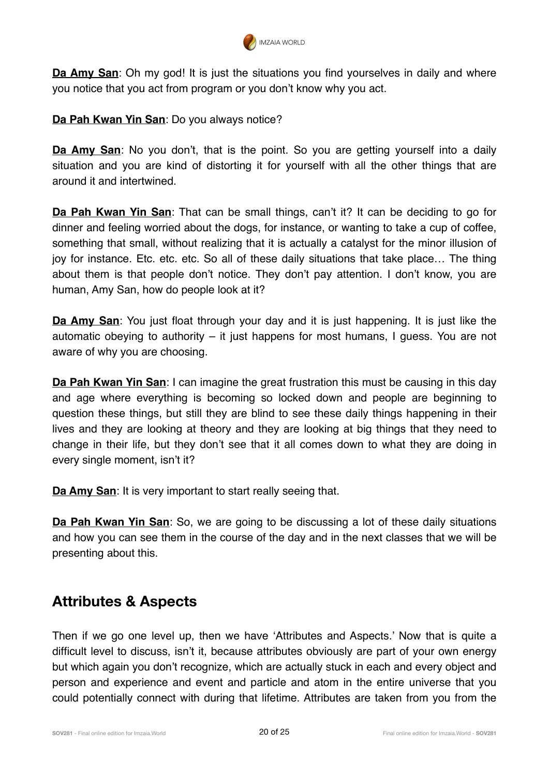

**Da Amy San**: Oh my god! It is just the situations you find yourselves in daily and where you notice that you act from program or you don't know why you act.

**Da Pah Kwan Yin San**: Do you always notice?

**Da Amy San**: No you don't, that is the point. So you are getting yourself into a daily situation and you are kind of distorting it for yourself with all the other things that are around it and intertwined.

**Da Pah Kwan Yin San**: That can be small things, can't it? It can be deciding to go for dinner and feeling worried about the dogs, for instance, or wanting to take a cup of coffee, something that small, without realizing that it is actually a catalyst for the minor illusion of joy for instance. Etc. etc. etc. So all of these daily situations that take place… The thing about them is that people don't notice. They don't pay attention. I don't know, you are human, Amy San, how do people look at it?

**Da Amy San**: You just float through your day and it is just happening. It is just like the automatic obeying to authority – it just happens for most humans, I guess. You are not aware of why you are choosing.

**Da Pah Kwan Yin San**: I can imagine the great frustration this must be causing in this day and age where everything is becoming so locked down and people are beginning to question these things, but still they are blind to see these daily things happening in their lives and they are looking at theory and they are looking at big things that they need to change in their life, but they don't see that it all comes down to what they are doing in every single moment, isn't it?

**Da Amy San**: It is very important to start really seeing that.

**Da Pah Kwan Yin San**: So, we are going to be discussing a lot of these daily situations and how you can see them in the course of the day and in the next classes that we will be presenting about this.

#### **Attributes & Aspects**

Then if we go one level up, then we have 'Attributes and Aspects.' Now that is quite a difficult level to discuss, isn't it, because attributes obviously are part of your own energy but which again you don't recognize, which are actually stuck in each and every object and person and experience and event and particle and atom in the entire universe that you could potentially connect with during that lifetime. Attributes are taken from you from the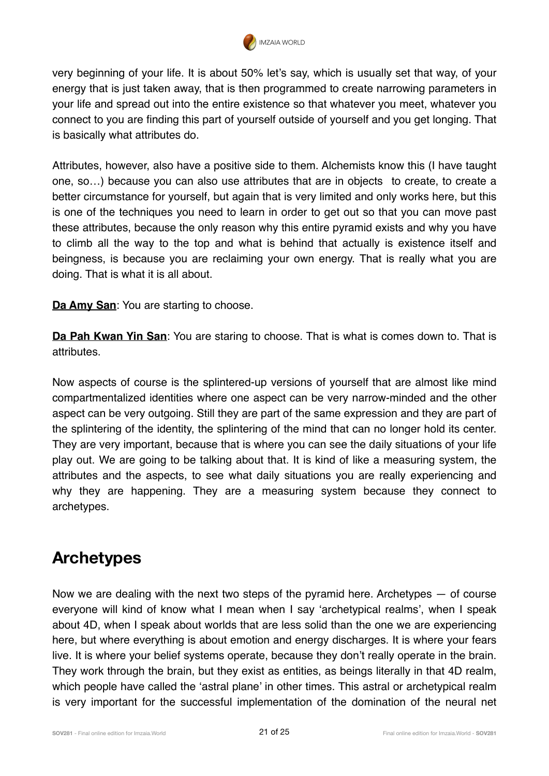

very beginning of your life. It is about 50% let's say, which is usually set that way, of your energy that is just taken away, that is then programmed to create narrowing parameters in your life and spread out into the entire existence so that whatever you meet, whatever you connect to you are finding this part of yourself outside of yourself and you get longing. That is basically what attributes do.

Attributes, however, also have a positive side to them. Alchemists know this (I have taught one, so…) because you can also use attributes that are in objects to create, to create a better circumstance for yourself, but again that is very limited and only works here, but this is one of the techniques you need to learn in order to get out so that you can move past these attributes, because the only reason why this entire pyramid exists and why you have to climb all the way to the top and what is behind that actually is existence itself and beingness, is because you are reclaiming your own energy. That is really what you are doing. That is what it is all about.

**Da Amy San**: You are starting to choose.

**Da Pah Kwan Yin San**: You are staring to choose. That is what is comes down to. That is attributes.

Now aspects of course is the splintered-up versions of yourself that are almost like mind compartmentalized identities where one aspect can be very narrow-minded and the other aspect can be very outgoing. Still they are part of the same expression and they are part of the splintering of the identity, the splintering of the mind that can no longer hold its center. They are very important, because that is where you can see the daily situations of your life play out. We are going to be talking about that. It is kind of like a measuring system, the attributes and the aspects, to see what daily situations you are really experiencing and why they are happening. They are a measuring system because they connect to archetypes.

## **Archetypes**

Now we are dealing with the next two steps of the pyramid here. Archetypes  $-$  of course everyone will kind of know what I mean when I say 'archetypical realms', when I speak about 4D, when I speak about worlds that are less solid than the one we are experiencing here, but where everything is about emotion and energy discharges. It is where your fears live. It is where your belief systems operate, because they don't really operate in the brain. They work through the brain, but they exist as entities, as beings literally in that 4D realm, which people have called the 'astral plane' in other times. This astral or archetypical realm is very important for the successful implementation of the domination of the neural net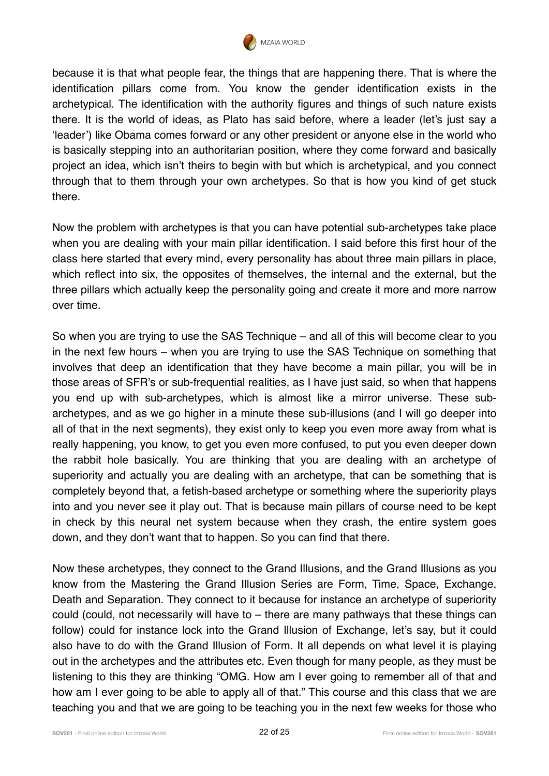

because it is that what people fear, the things that are happening there. That is where the identification pillars come from. You know the gender identification exists in the archetypical. The identification with the authority figures and things of such nature exists there. It is the world of ideas, as Plato has said before, where a leader (let's just say a 'leader') like Obama comes forward or any other president or anyone else in the world who is basically stepping into an authoritarian position, where they come forward and basically project an idea, which isn't theirs to begin with but which is archetypical, and you connect through that to them through your own archetypes. So that is how you kind of get stuck there.

Now the problem with archetypes is that you can have potential sub-archetypes take place when you are dealing with your main pillar identification. I said before this first hour of the class here started that every mind, every personality has about three main pillars in place, which reflect into six, the opposites of themselves, the internal and the external, but the three pillars which actually keep the personality going and create it more and more narrow over time.

So when you are trying to use the SAS Technique – and all of this will become clear to you in the next few hours – when you are trying to use the SAS Technique on something that involves that deep an identification that they have become a main pillar, you will be in those areas of SFR's or sub-frequential realities, as I have just said, so when that happens you end up with sub-archetypes, which is almost like a mirror universe. These subarchetypes, and as we go higher in a minute these sub-illusions (and I will go deeper into all of that in the next segments), they exist only to keep you even more away from what is really happening, you know, to get you even more confused, to put you even deeper down the rabbit hole basically. You are thinking that you are dealing with an archetype of superiority and actually you are dealing with an archetype, that can be something that is completely beyond that, a fetish-based archetype or something where the superiority plays into and you never see it play out. That is because main pillars of course need to be kept in check by this neural net system because when they crash, the entire system goes down, and they don't want that to happen. So you can find that there.

Now these archetypes, they connect to the Grand Illusions, and the Grand Illusions as you know from the Mastering the Grand Illusion Series are Form, Time, Space, Exchange, Death and Separation. They connect to it because for instance an archetype of superiority could (could, not necessarily will have to – there are many pathways that these things can follow) could for instance lock into the Grand Illusion of Exchange, let's say, but it could also have to do with the Grand Illusion of Form. It all depends on what level it is playing out in the archetypes and the attributes etc. Even though for many people, as they must be listening to this they are thinking "OMG. How am I ever going to remember all of that and how am I ever going to be able to apply all of that." This course and this class that we are teaching you and that we are going to be teaching you in the next few weeks for those who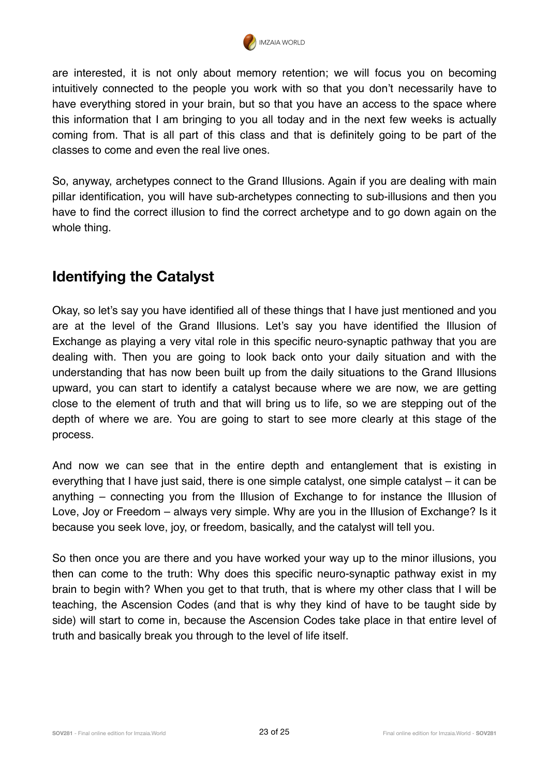

are interested, it is not only about memory retention; we will focus you on becoming intuitively connected to the people you work with so that you don't necessarily have to have everything stored in your brain, but so that you have an access to the space where this information that I am bringing to you all today and in the next few weeks is actually coming from. That is all part of this class and that is definitely going to be part of the classes to come and even the real live ones.

So, anyway, archetypes connect to the Grand Illusions. Again if you are dealing with main pillar identification, you will have sub-archetypes connecting to sub-illusions and then you have to find the correct illusion to find the correct archetype and to go down again on the whole thing.

#### **Identifying the Catalyst**

Okay, so let's say you have identified all of these things that I have just mentioned and you are at the level of the Grand Illusions. Let's say you have identified the Illusion of Exchange as playing a very vital role in this specific neuro-synaptic pathway that you are dealing with. Then you are going to look back onto your daily situation and with the understanding that has now been built up from the daily situations to the Grand Illusions upward, you can start to identify a catalyst because where we are now, we are getting close to the element of truth and that will bring us to life, so we are stepping out of the depth of where we are. You are going to start to see more clearly at this stage of the process.

And now we can see that in the entire depth and entanglement that is existing in everything that I have just said, there is one simple catalyst, one simple catalyst – it can be anything – connecting you from the Illusion of Exchange to for instance the Illusion of Love, Joy or Freedom – always very simple. Why are you in the Illusion of Exchange? Is it because you seek love, joy, or freedom, basically, and the catalyst will tell you.

So then once you are there and you have worked your way up to the minor illusions, you then can come to the truth: Why does this specific neuro-synaptic pathway exist in my brain to begin with? When you get to that truth, that is where my other class that I will be teaching, the Ascension Codes (and that is why they kind of have to be taught side by side) will start to come in, because the Ascension Codes take place in that entire level of truth and basically break you through to the level of life itself.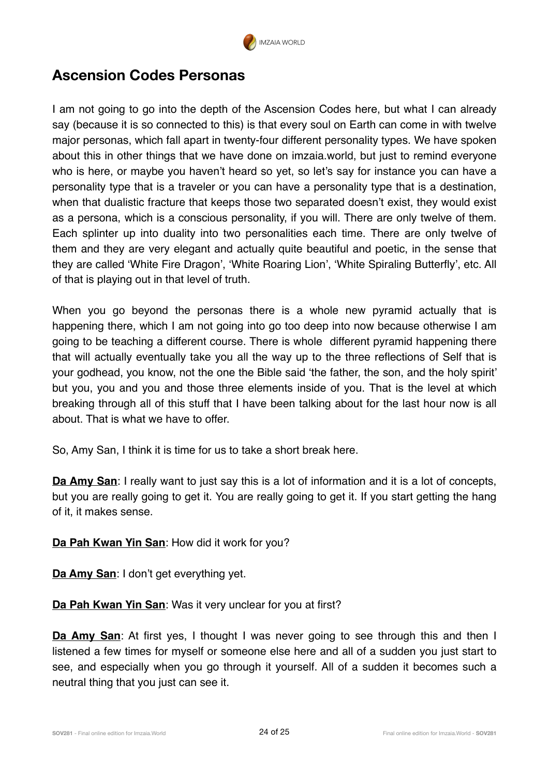

#### **Ascension Codes Personas**

I am not going to go into the depth of the Ascension Codes here, but what I can already say (because it is so connected to this) is that every soul on Earth can come in with twelve major personas, which fall apart in twenty-four different personality types. We have spoken about this in other things that we have done on imzaia.world, but just to remind everyone who is here, or maybe you haven't heard so yet, so let's say for instance you can have a personality type that is a traveler or you can have a personality type that is a destination, when that dualistic fracture that keeps those two separated doesn't exist, they would exist as a persona, which is a conscious personality, if you will. There are only twelve of them. Each splinter up into duality into two personalities each time. There are only twelve of them and they are very elegant and actually quite beautiful and poetic, in the sense that they are called 'White Fire Dragon', 'White Roaring Lion', 'White Spiraling Butterfly', etc. All of that is playing out in that level of truth.

When you go beyond the personas there is a whole new pyramid actually that is happening there, which I am not going into go too deep into now because otherwise I am going to be teaching a different course. There is whole different pyramid happening there that will actually eventually take you all the way up to the three reflections of Self that is your godhead, you know, not the one the Bible said 'the father, the son, and the holy spirit' but you, you and you and those three elements inside of you. That is the level at which breaking through all of this stuff that I have been talking about for the last hour now is all about. That is what we have to offer.

So, Amy San, I think it is time for us to take a short break here.

**Da Amy San**: I really want to just say this is a lot of information and it is a lot of concepts, but you are really going to get it. You are really going to get it. If you start getting the hang of it, it makes sense.

**Da Pah Kwan Yin San**: How did it work for you?

**Da Amy San**: I don't get everything yet.

**Da Pah Kwan Yin San**: Was it very unclear for you at first?

**Da Amy San**: At first yes, I thought I was never going to see through this and then I listened a few times for myself or someone else here and all of a sudden you just start to see, and especially when you go through it yourself. All of a sudden it becomes such a neutral thing that you just can see it.